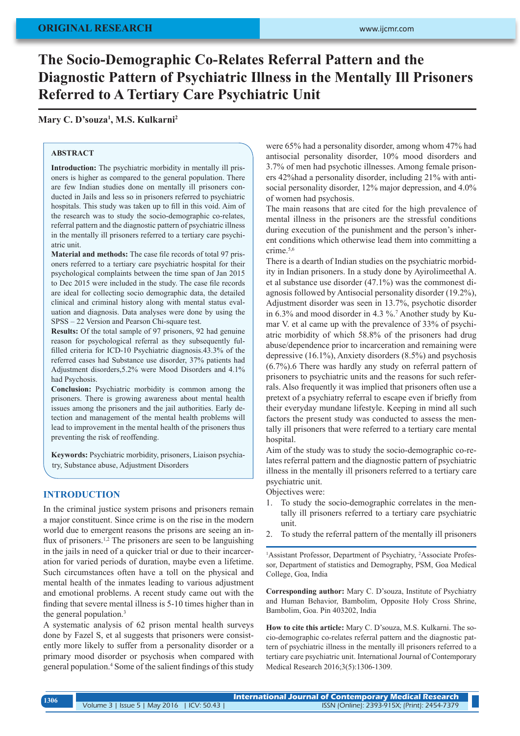# **The Socio-Demographic Co-Relates Referral Pattern and the Diagnostic Pattern of Psychiatric Illness in the Mentally Ill Prisoners Referred to A Tertiary Care Psychiatric Unit**

**Mary C. D'souza1 , M.S. Kulkarni2**

## **ABSTRACT**

**Introduction:** The psychiatric morbidity in mentally ill prisoners is higher as compared to the general population. There are few Indian studies done on mentally ill prisoners conducted in Jails and less so in prisoners referred to psychiatric hospitals. This study was taken up to fill in this void. Aim of the research was to study the socio-demographic co-relates, referral pattern and the diagnostic pattern of psychiatric illness in the mentally ill prisoners referred to a tertiary care psychiatric unit.

**Material and methods:** The case file records of total 97 prisoners referred to a tertiary care psychiatric hospital for their psychological complaints between the time span of Jan 2015 to Dec 2015 were included in the study. The case file records are ideal for collecting socio demographic data, the detailed clinical and criminal history along with mental status evaluation and diagnosis. Data analyses were done by using the SPSS – 22 Version and Pearson Chi-square test.

**Results:** Of the total sample of 97 prisoners, 92 had genuine reason for psychological referral as they subsequently fulfilled criteria for ICD-10 Psychiatric diagnosis.43.3% of the referred cases had Substance use disorder, 37% patients had Adjustment disorders,5.2% were Mood Disorders and 4.1% had Psychosis.

**Conclusion:** Psychiatric morbidity is common among the prisoners. There is growing awareness about mental health issues among the prisoners and the jail authorities. Early detection and management of the mental health problems will lead to improvement in the mental health of the prisoners thus preventing the risk of reoffending.

**Keywords:** Psychiatric morbidity, prisoners, Liaison psychiatry, Substance abuse, Adjustment Disorders

#### **INTRODUCTION**

In the criminal justice system prisons and prisoners remain a major constituent. Since crime is on the rise in the modern world due to emergent reasons the prisons are seeing an influx of prisoners.<sup>1,2</sup> The prisoners are seen to be languishing in the jails in need of a quicker trial or due to their incarceration for varied periods of duration, maybe even a lifetime. Such circumstances often have a toll on the physical and mental health of the inmates leading to various adjustment and emotional problems. A recent study came out with the finding that severe mental illness is 5-10 times higher than in the general population.<sup>3</sup>

A systematic analysis of 62 prison mental health surveys done by Fazel S, et al suggests that prisoners were consistently more likely to suffer from a personality disorder or a primary mood disorder or psychosis when compared with general population.<sup>4</sup> Some of the salient findings of this study were 65% had a personality disorder, among whom 47% had antisocial personality disorder, 10% mood disorders and 3.7% of men had psychotic illnesses. Among female prisoners 42%had a personality disorder, including 21% with antisocial personality disorder, 12% major depression, and 4.0% of women had psychosis.

The main reasons that are cited for the high prevalence of mental illness in the prisoners are the stressful conditions during execution of the punishment and the person's inherent conditions which otherwise lead them into committing a crime.5,6

There is a dearth of Indian studies on the psychiatric morbidity in Indian prisoners. In a study done by Ayirolimeethal A. et al substance use disorder (47.1%) was the commonest diagnosis followed by Antisocial personality disorder (19.2%), Adjustment disorder was seen in 13.7%, psychotic disorder in 6.3% and mood disorder in 4.3 %.7 Another study by Kumar V. et al came up with the prevalence of 33% of psychiatric morbidity of which 58.8% of the prisoners had drug abuse/dependence prior to incarceration and remaining were depressive (16.1%), Anxiety disorders (8.5%) and psychosis (6.7%).6 There was hardly any study on referral pattern of prisoners to psychiatric units and the reasons for such referrals. Also frequently it was implied that prisoners often use a pretext of a psychiatry referral to escape even if briefly from their everyday mundane lifestyle. Keeping in mind all such factors the present study was conducted to assess the mentally ill prisoners that were referred to a tertiary care mental hospital.

Aim of the study was to study the socio-demographic co-relates referral pattern and the diagnostic pattern of psychiatric illness in the mentally ill prisoners referred to a tertiary care psychiatric unit.

Objectives were:

- 1. To study the socio-demographic correlates in the mentally ill prisoners referred to a tertiary care psychiatric unit.
- 2. To study the referral pattern of the mentally ill prisoners

<sup>1</sup>Assistant Professor, Department of Psychiatry, <sup>2</sup>Associate Professor, Department of statistics and Demography, PSM, Goa Medical College, Goa, India

**Corresponding author:** Mary C. D'souza, Institute of Psychiatry and Human Behavior, Bambolim, Opposite Holy Cross Shrine, Bambolim, Goa. Pin 403202, India

**How to cite this article:** Mary C. D'souza, M.S. Kulkarni. The socio-demographic co-relates referral pattern and the diagnostic pattern of psychiatric illness in the mentally ill prisoners referred to a tertiary care psychiatric unit. International Journal of Contemporary Medical Research 2016;3(5):1306-1309.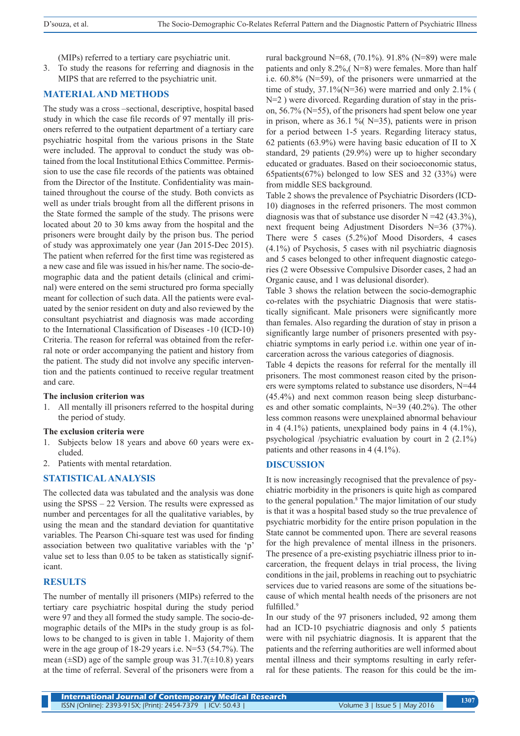(MIPs) referred to a tertiary care psychiatric unit.

3. To study the reasons for referring and diagnosis in the MIPS that are referred to the psychiatric unit.

## **MATERIAL AND METHODS**

The study was a cross –sectional, descriptive, hospital based study in which the case file records of 97 mentally ill prisoners referred to the outpatient department of a tertiary care psychiatric hospital from the various prisons in the State were included. The approval to conduct the study was obtained from the local Institutional Ethics Committee. Permission to use the case file records of the patients was obtained from the Director of the Institute. Confidentiality was maintained throughout the course of the study. Both convicts as well as under trials brought from all the different prisons in the State formed the sample of the study. The prisons were located about 20 to 30 kms away from the hospital and the prisoners were brought daily by the prison bus. The period of study was approximately one year (Jan 2015-Dec 2015). The patient when referred for the first time was registered as a new case and file was issued in his/her name. The socio-demographic data and the patient details (clinical and criminal) were entered on the semi structured pro forma specially meant for collection of such data. All the patients were evaluated by the senior resident on duty and also reviewed by the consultant psychiatrist and diagnosis was made according to the International Classification of Diseases -10 (ICD-10) Criteria. The reason for referral was obtained from the referral note or order accompanying the patient and history from the patient. The study did not involve any specific intervention and the patients continued to receive regular treatment and care.

#### **The inclusion criterion was**

1. All mentally ill prisoners referred to the hospital during the period of study.

#### **The exclusion criteria were**

- 1. Subjects below 18 years and above 60 years were excluded.
- 2. Patients with mental retardation.

## **STATISTICAL ANALYSIS**

The collected data was tabulated and the analysis was done using the SPSS – 22 Version. The results were expressed as number and percentages for all the qualitative variables, by using the mean and the standard deviation for quantitative variables. The Pearson Chi-square test was used for finding association between two qualitative variables with the 'p' value set to less than 0.05 to be taken as statistically significant.

## **RESULTS**

The number of mentally ill prisoners (MIPs) referred to the tertiary care psychiatric hospital during the study period were 97 and they all formed the study sample. The socio-demographic details of the MIPs in the study group is as follows to be changed to is given in table 1. Majority of them were in the age group of 18-29 years i.e. N=53 (54.7%). The mean  $(\pm SD)$  age of the sample group was  $31.7(\pm 10.8)$  years at the time of referral. Several of the prisoners were from a rural background N=68, (70.1%). 91.8% (N=89) were male patients and only 8.2%,( N=8) were females. More than half i.e. 60.8% (N=59), of the prisoners were unmarried at the time of study,  $37.1\%$ (N=36) were married and only 2.1% ( N=2) were divorced. Regarding duration of stay in the prison, 56.7% (N=55), of the prisoners had spent below one year in prison, where as  $36.1 \%$  (N=35), patients were in prison for a period between 1-5 years. Regarding literacy status, 62 patients (63.9%) were having basic education of II to X standard, 29 patients (29.9%) were up to higher secondary educated or graduates. Based on their socioeconomic status, 65patients(67%) belonged to low SES and 32 (33%) were from middle SES background.

Table 2 shows the prevalence of Psychiatric Disorders (ICD-10) diagnoses in the referred prisoners. The most common diagnosis was that of substance use disorder  $N = 42$  (43.3%), next frequent being Adjustment Disorders N=36 (37%). There were 5 cases (5.2%)of Mood Disorders, 4 cases (4.1%) of Psychosis, 5 cases with nil psychiatric diagnosis and 5 cases belonged to other infrequent diagnostic categories (2 were Obsessive Compulsive Disorder cases, 2 had an Organic cause, and 1 was delusional disorder).

Table 3 shows the relation between the socio-demographic co-relates with the psychiatric Diagnosis that were statistically significant. Male prisoners were significantly more than females. Also regarding the duration of stay in prison a significantly large number of prisoners presented with psychiatric symptoms in early period i.e. within one year of incarceration across the various categories of diagnosis.

Table 4 depicts the reasons for referral for the mentally ill prisoners. The most commonest reason cited by the prisoners were symptoms related to substance use disorders, N=44 (45.4%) and next common reason being sleep disturbances and other somatic complaints, N=39 (40.2%). The other less common reasons were unexplained abnormal behaviour in 4  $(4.1\%)$  patients, unexplained body pains in 4  $(4.1\%)$ , psychological /psychiatric evaluation by court in 2 (2.1%) patients and other reasons in 4 (4.1%).

#### **DISCUSSION**

It is now increasingly recognised that the prevalence of psychiatric morbidity in the prisoners is quite high as compared to the general population.<sup>8</sup> The major limitation of our study is that it was a hospital based study so the true prevalence of psychiatric morbidity for the entire prison population in the State cannot be commented upon. There are several reasons for the high prevalence of mental illness in the prisoners. The presence of a pre-existing psychiatric illness prior to incarceration, the frequent delays in trial process, the living conditions in the jail, problems in reaching out to psychiatric services due to varied reasons are some of the situations because of which mental health needs of the prisoners are not fulfilled.<sup>9</sup>

In our study of the 97 prisoners included, 92 among them had an ICD-10 psychiatric diagnosis and only 5 patients were with nil psychiatric diagnosis. It is apparent that the patients and the referring authorities are well informed about mental illness and their symptoms resulting in early referral for these patients. The reason for this could be the im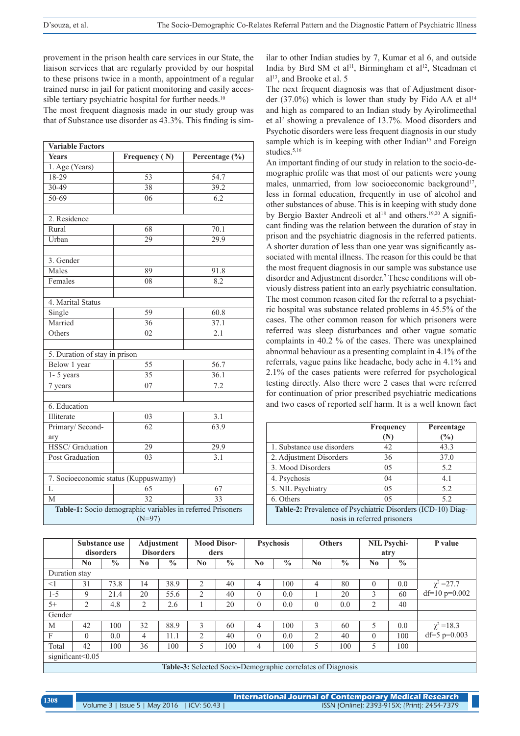provement in the prison health care services in our State, the liaison services that are regularly provided by our hospital to these prisons twice in a month, appointment of a regular trained nurse in jail for patient monitoring and easily accessible tertiary psychiatric hospital for further needs.<sup>10</sup>

The most frequent diagnosis made in our study group was that of Substance use disorder as 43.3%. This finding is sim-

| <b>Variable Factors</b>                                    |                 |                  |  |  |  |  |  |  |
|------------------------------------------------------------|-----------------|------------------|--|--|--|--|--|--|
| <b>Years</b>                                               | Frequency (N)   | Percentage (%)   |  |  |  |  |  |  |
| 1. Age (Years)                                             |                 |                  |  |  |  |  |  |  |
| 18-29                                                      | 53              | 54.7             |  |  |  |  |  |  |
| 30-49                                                      | 38              | 39.2             |  |  |  |  |  |  |
| $50 - 69$                                                  | 06              | 6.2              |  |  |  |  |  |  |
|                                                            |                 |                  |  |  |  |  |  |  |
| 2. Residence                                               |                 |                  |  |  |  |  |  |  |
| Rural                                                      | 68              | 70.1             |  |  |  |  |  |  |
| Urban                                                      | 29              | 29.9             |  |  |  |  |  |  |
|                                                            |                 |                  |  |  |  |  |  |  |
| 3. Gender                                                  |                 |                  |  |  |  |  |  |  |
| Males                                                      | 89              | 91.8             |  |  |  |  |  |  |
| Females                                                    | 08              | 8.2              |  |  |  |  |  |  |
|                                                            |                 |                  |  |  |  |  |  |  |
| 4. Marital Status                                          |                 |                  |  |  |  |  |  |  |
| Single                                                     | 59              | 60.8             |  |  |  |  |  |  |
| Married                                                    | 36              | 37.1             |  |  |  |  |  |  |
| Others                                                     | 02              | 2.1              |  |  |  |  |  |  |
|                                                            |                 |                  |  |  |  |  |  |  |
| 5. Duration of stay in prison                              |                 |                  |  |  |  |  |  |  |
| Below 1 year                                               | 55              | 56.7             |  |  |  |  |  |  |
| $1 - 5$ years                                              | $\overline{35}$ | 36.1             |  |  |  |  |  |  |
| 7 years                                                    | 07              | 7.2              |  |  |  |  |  |  |
|                                                            |                 |                  |  |  |  |  |  |  |
| 6. Education                                               |                 |                  |  |  |  |  |  |  |
| Illiterate                                                 | 03              | $\overline{3.1}$ |  |  |  |  |  |  |
| Primary/Second-                                            | $\overline{62}$ | 63.9             |  |  |  |  |  |  |
| ary                                                        |                 |                  |  |  |  |  |  |  |
| <b>HSSC/Graduation</b>                                     | $\overline{29}$ | 29.9             |  |  |  |  |  |  |
| <b>Post Graduation</b>                                     | 03              | 3.1              |  |  |  |  |  |  |
|                                                            |                 |                  |  |  |  |  |  |  |
| 7. Socioeconomic status (Kuppuswamy)                       |                 |                  |  |  |  |  |  |  |
| L                                                          | 65              | 67               |  |  |  |  |  |  |
| $\mathbf{M}$                                               | $\overline{32}$ | $\overline{33}$  |  |  |  |  |  |  |
| Table-1: Socio demographic variables in referred Prisoners |                 |                  |  |  |  |  |  |  |
| $(N=97)$                                                   |                 |                  |  |  |  |  |  |  |

ilar to other Indian studies by 7, Kumar et al 6, and outside India by Bird SM et al<sup>11</sup>, Birmingham et al<sup>12</sup>, Steadman et al<sup>13</sup>, and Brooke et al. 5

The next frequent diagnosis was that of Adjustment disorder (37.0%) which is lower than study by Fido AA et al<sup>14</sup> and high as compared to an Indian study by Ayirolimeethal et al<sup>7</sup> showing a prevalence of 13.7%. Mood disorders and Psychotic disorders were less frequent diagnosis in our study sample which is in keeping with other Indian<sup>15</sup> and Foreign studies.<sup>5,16</sup>

An important finding of our study in relation to the socio-demographic profile was that most of our patients were young males, unmarried, from low socioeconomic background<sup>17</sup>, less in formal education, frequently in use of alcohol and other substances of abuse. This is in keeping with study done by Bergio Baxter Andreoli et al<sup>18</sup> and others.<sup>19,20</sup> A significant finding was the relation between the duration of stay in prison and the psychiatric diagnosis in the referred patients. A shorter duration of less than one year was significantly associated with mental illness. The reason for this could be that the most frequent diagnosis in our sample was substance use disorder and Adjustment disorder.7 These conditions will obviously distress patient into an early psychiatric consultation. The most common reason cited for the referral to a psychiatric hospital was substance related problems in 45.5% of the cases. The other common reason for which prisoners were referred was sleep disturbances and other vague somatic complaints in 40.2 % of the cases. There was unexplained abnormal behaviour as a presenting complaint in 4.1% of the referrals, vague pains like headache, body ache in 4.1% and 2.1% of the cases patients were referred for psychological testing directly. Also there were 2 cases that were referred for continuation of prior prescribed psychiatric medications and two cases of reported self harm. It is a well known fact

|                                                             | Frequency | Percentage |  |  |  |  |
|-------------------------------------------------------------|-----------|------------|--|--|--|--|
|                                                             | (N)       | (%)        |  |  |  |  |
| 1. Substance use disorders                                  | 42        | 43.3       |  |  |  |  |
| 2. Adjustment Disorders                                     | 36        | 37.0       |  |  |  |  |
| 3. Mood Disorders                                           | 05        | 5.2        |  |  |  |  |
| 4. Psychosis                                                | 04        | 4.1        |  |  |  |  |
| 5. NIL Psychiatry                                           | 0.5       | 5.2        |  |  |  |  |
| 6. Others<br>5.2<br>0.5                                     |           |            |  |  |  |  |
| Table-2: Prevalence of Psychiatric Disorders (ICD-10) Diag- |           |            |  |  |  |  |
| nosis in referred prisoners                                 |           |            |  |  |  |  |

|                                                                    |          | Substance use<br>disorders |     | Adjustment<br><b>Disorders</b> |          | Mood Disor-<br>ders |                | <b>Psychosis</b> |                        | <b>Others</b> | atry           | <b>NIL Psychi-</b> | P value          |
|--------------------------------------------------------------------|----------|----------------------------|-----|--------------------------------|----------|---------------------|----------------|------------------|------------------------|---------------|----------------|--------------------|------------------|
|                                                                    | No       | $\frac{0}{0}$              | No. | $\frac{0}{0}$                  | $\bf No$ | $\frac{0}{0}$       | N <sub>0</sub> | $\frac{0}{0}$    | $\mathbf{N}\mathbf{0}$ | $\frac{0}{0}$ | N <sub>0</sub> | $\frac{0}{0}$      |                  |
| Duration stay                                                      |          |                            |     |                                |          |                     |                |                  |                        |               |                |                    |                  |
| <1                                                                 | 31       | 73.8                       | 14  | 38.9                           | 2        | 40                  | 4              | 100              | 4                      | 80            | $\theta$       | 0.0                | $\chi^2$ = 27.7  |
| $1 - 5$                                                            | 9        | 21.4                       | 20  | 55.6                           | 2        | 40                  | $\Omega$       | 0.0              |                        | 20            | 3              | 60                 | df= $10 p=0.002$ |
| $5+$                                                               | 2        | 4.8                        | 2   | 2.6                            |          | 20                  | $\Omega$       | 0.0              | $\theta$               | 0.0           | 2              | 40                 |                  |
| Gender                                                             |          |                            |     |                                |          |                     |                |                  |                        |               |                |                    |                  |
| M                                                                  | 42       | 100                        | 32  | 88.9                           | 3        | 60                  | 4              | 100              | 3                      | 60            |                | 0.0                | $\chi^2 = 18.3$  |
| F                                                                  | $\theta$ | 0.0                        | 4   | 11.1                           | 2        | 40                  | $\Omega$       | 0.0              | $\overline{2}$         | 40            | $\theta$       | 100                | df=5 $p=0.003$   |
| Total                                                              | 42       | 100                        | 36  | 100                            | 5        | 100                 | 4              | 100              | 5                      | 100           | 5              | 100                |                  |
| significant<0.05                                                   |          |                            |     |                                |          |                     |                |                  |                        |               |                |                    |                  |
| <b>Table-3:</b> Selected Socio-Demographic correlates of Diagnosis |          |                            |     |                                |          |                     |                |                  |                        |               |                |                    |                  |

**International Journal of Contemporary Medical Research**  Volume 3 | Issue 5 | May 2016 | ICV: 50.43 | ISSN (Online): 2393-915X; (Print): 2454-7379 **<sup>1308</sup>**